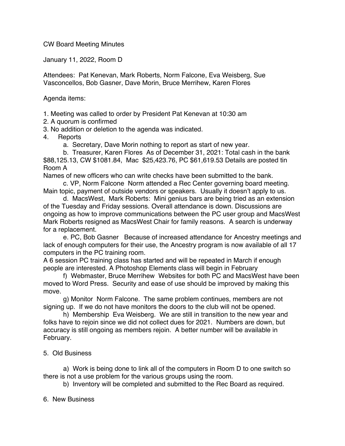CW Board Meeting Minutes

January 11, 2022, Room D

Attendees: Pat Kenevan, Mark Roberts, Norm Falcone, Eva Weisberg, Sue Vasconcellos, Bob Gasner, Dave Morin, Bruce Merrihew, Karen Flores

Agenda items:

1. Meeting was called to order by President Pat Kenevan at 10:30 am

2. A quorum is confirmed

3. No addition or deletion to the agenda was indicated.

- 4. Reports
	- a. Secretary, Dave Morin nothing to report as start of new year.

b. Treasurer, Karen Flores As of December 31, 2021: Total cash in the bank \$88,125.13, CW \$1081.84, Mac \$25,423.76, PC \$61,619.53 Details are posted tin Room A

Names of new officers who can write checks have been submitted to the bank.

c. VP, Norm Falcone Norm attended a Rec Center governing board meeting. Main topic, payment of outside vendors or speakers. Usually it doesn't apply to us.

d. MacsWest, Mark Roberts: Mini genius bars are being tried as an extension of the Tuesday and Friday sessions. Overall attendance is down. Discussions are ongoing as how to improve communications between the PC user group and MacsWest Mark Roberts resigned as MacsWest Chair for family reasons. A search is underway for a replacement.

e. PC, Bob Gasner Because of increased attendance for Ancestry meetings and lack of enough computers for their use, the Ancestry program is now available of all 17 computers in the PC training room.

A 6 session PC training class has started and will be repeated in March if enough people are interested. A Photoshop Elements class will begin in February

f) Webmaster, Bruce Merrihew Websites for both PC and MacsWest have been moved to Word Press. Security and ease of use should be improved by making this move.

g) Monitor Norm Falcone. The same problem continues, members are not signing up. If we do not have monitors the doors to the club will not be opened.

h) Membership Eva Weisberg. We are still in transition to the new year and folks have to rejoin since we did not collect dues for 2021. Numbers are down, but accuracy is still ongoing as members rejoin. A better number will be available in February.

## 5. Old Business

a) Work is being done to link all of the computers in Room D to one switch so there is not a use problem for the various groups using the room.

b) Inventory will be completed and submitted to the Rec Board as required.

6. New Business